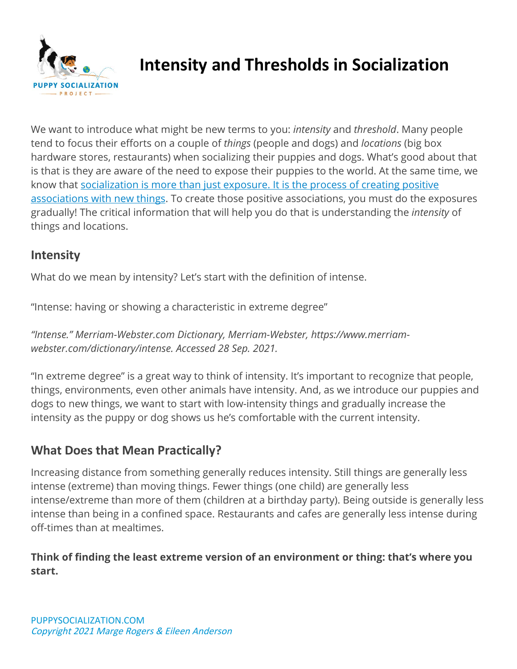

# **Intensity and Thresholds in Socialization**

We want to introduce what might be new terms to you: *intensity* and *threshold*. Many people tend to focus their efforts on a couple of *things* (people and dogs) and *locations* (big box hardware stores, restaurants) when socializing their puppies and dogs. What's good about that is that is they are aware of the need to expose their puppies to the world. At the same time, we know that socialization is more than just exposure. It is the process of creating positive [associations with new things.](https://puppysocialization.com/what-is-puppy-socialization/) To create those positive associations, you must do the exposures gradually! The critical information that will help you do that is understanding the *intensity* of things and locations.

#### **Intensity**

What do we mean by intensity? Let's start with the definition of intense.

"Intense: having or showing a characteristic in extreme degree"

*"Intense." Merriam-Webster.com Dictionary, Merriam-Webster, https://www.merriamwebster.com/dictionary/intense. Accessed 28 Sep. 2021.*

"In extreme degree" is a great way to think of intensity. It's important to recognize that people, things, environments, even other animals have intensity. And, as we introduce our puppies and dogs to new things, we want to start with low-intensity things and gradually increase the intensity as the puppy or dog shows us he's comfortable with the current intensity.

### **What Does that Mean Practically?**

Increasing distance from something generally reduces intensity. Still things are generally less intense (extreme) than moving things. Fewer things (one child) are generally less intense/extreme than more of them (children at a birthday party). Being outside is generally less intense than being in a confined space. Restaurants and cafes are generally less intense during off-times than at mealtimes.

#### **Think of finding the least extreme version of an environment or thing: that's where you start.**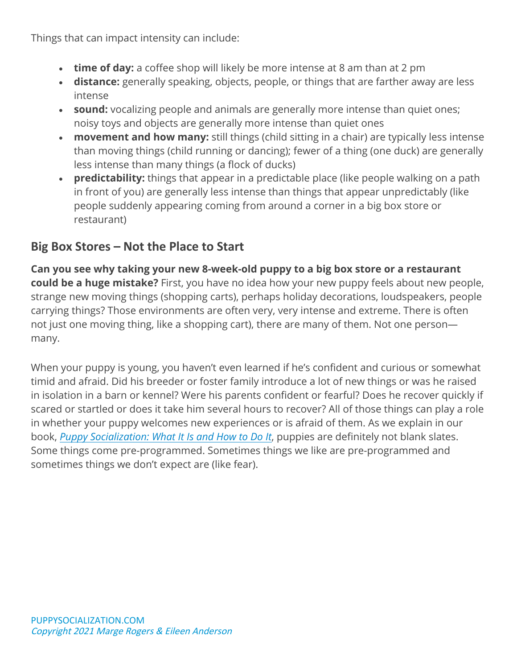Things that can impact intensity can include:

- **time of day:** a coffee shop will likely be more intense at 8 am than at 2 pm
- **distance:** generally speaking, objects, people, or things that are farther away are less intense
- **sound:** vocalizing people and animals are generally more intense than quiet ones; noisy toys and objects are generally more intense than quiet ones
- **movement and how many:** still things (child sitting in a chair) are typically less intense than moving things (child running or dancing); fewer of a thing (one duck) are generally less intense than many things (a flock of ducks)
- **predictability:** things that appear in a predictable place (like people walking on a path in front of you) are generally less intense than things that appear unpredictably (like people suddenly appearing coming from around a corner in a big box store or restaurant)

### **Big Box Stores – Not the Place to Start**

**Can you see why taking your new 8-week-old puppy to a big box store or a restaurant could be a huge mistake?** First, you have no idea how your new puppy feels about new people, strange new moving things (shopping carts), perhaps holiday decorations, loudspeakers, people carrying things? Those environments are often very, very intense and extreme. There is often not just one moving thing, like a shopping cart), there are many of them. Not one person many.

When your puppy is young, you haven't even learned if he's confident and curious or somewhat timid and afraid. Did his breeder or foster family introduce a lot of new things or was he raised in isolation in a barn or kennel? Were his parents confident or fearful? Does he recover quickly if scared or startled or does it take him several hours to recover? All of those things can play a role in whether your puppy welcomes new experiences or is afraid of them. As we explain in our book, *[Puppy Socialization: What It Is and How to Do It](https://puppysocialization.com/puppy-socialization-book/)*, puppies are definitely not blank slates. Some things come pre-programmed. Sometimes things we like are pre-programmed and sometimes things we don't expect are (like fear).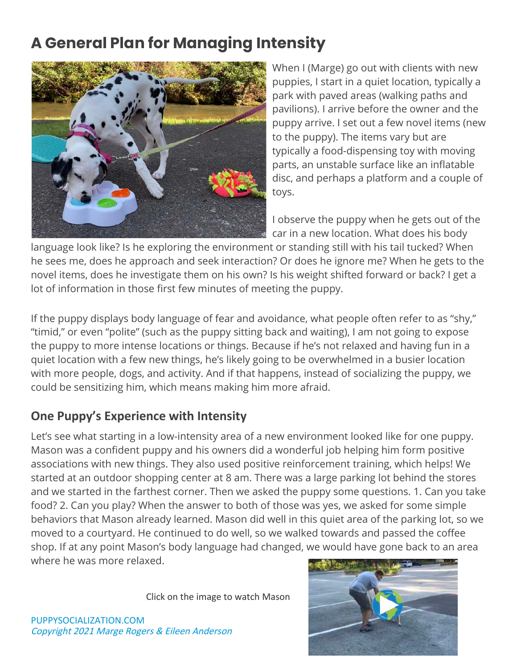# **A General Plan for Managing Intensity**



When I (Marge) go out with clients with new puppies, I start in a quiet location, typically a park with paved areas (walking paths and pavilions). I arrive before the owner and the puppy arrive. I set out a few novel items (new to the puppy). The items vary but are typically a food-dispensing toy with moving parts, an unstable surface like an inflatable disc, and perhaps a platform and a couple of toys.

I observe the puppy when he gets out of the car in a new location. What does his body

language look like? Is he exploring the environment or standing still with his tail tucked? When he sees me, does he approach and seek interaction? Or does he ignore me? When he gets to the novel items, does he investigate them on his own? Is his weight shifted forward or back? I get a lot of information in those first few minutes of meeting the puppy.

If the puppy displays body language of fear and avoidance, what people often refer to as "shy," "timid," or even "polite" (such as the puppy sitting back and waiting), I am not going to expose the puppy to more intense locations or things. Because if he's not relaxed and having fun in a quiet location with a few new things, he's likely going to be overwhelmed in a busier location with more people, dogs, and activity. And if that happens, instead of socializing the puppy, we could be sensitizing him, which means making him more afraid.

### **One Puppy's Experience with Intensity**

Let's see what starting in a low-intensity area of a new environment looked like for one puppy. Mason was a confident puppy and his owners did a wonderful job helping him form positive associations with new things. They also used positive reinforcement training, which helps! We started at an outdoor shopping center at 8 am. There was a large parking lot behind the stores and we started in the farthest corner. Then we asked the puppy some questions. 1. Can you take food? 2. Can you play? When the answer to both of those was yes, we asked for some simple behaviors that Mason already learned. Mason did well in this quiet area of the parking lot, so we moved to a courtyard. He continued to do well, so we walked towards and passed the coffee shop. If at any point Mason's body language had changed, we would have gone back to an area where he was more relaxed.

Click on the image to watch Mason

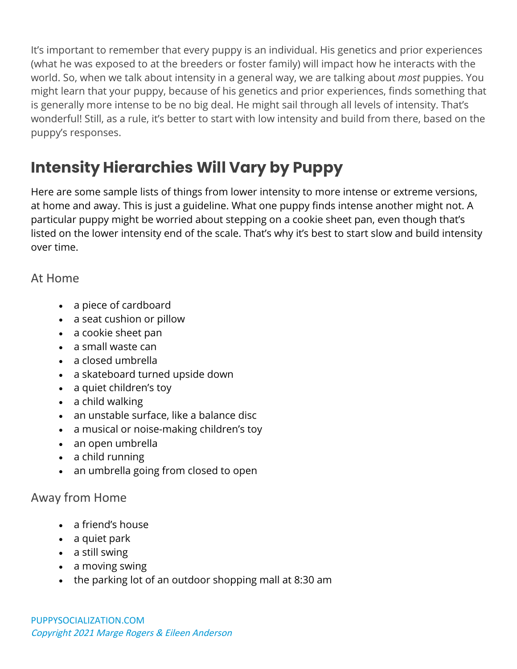It's important to remember that every puppy is an individual. His genetics and prior experiences (what he was exposed to at the breeders or foster family) will impact how he interacts with the world. So, when we talk about intensity in a general way, we are talking about *most* puppies. You might learn that your puppy, because of his genetics and prior experiences, finds something that is generally more intense to be no big deal. He might sail through all levels of intensity. That's wonderful! Still, as a rule, it's better to start with low intensity and build from there, based on the puppy's responses.

## **Intensity Hierarchies Will Vary by Puppy**

Here are some sample lists of things from lower intensity to more intense or extreme versions, at home and away. This is just a guideline. What one puppy finds intense another might not. A particular puppy might be worried about stepping on a cookie sheet pan, even though that's listed on the lower intensity end of the scale. That's why it's best to start slow and build intensity over time.

#### At Home

- a piece of cardboard
- a seat cushion or pillow
- a cookie sheet pan
- a small waste can
- a closed umbrella
- a skateboard turned upside down
- a quiet children's toy
- a child walking
- an unstable surface, like a balance disc
- a musical or noise-making children's toy
- an open umbrella
- a child running
- an umbrella going from closed to open

#### Away from Home

- a friend's house
- a quiet park
- a still swing
- a moving swing
- the parking lot of an outdoor shopping mall at 8:30 am

[PUPPYSOCIALIZATION.COM](https://puppysocialization.com) [Copyright 2021 Marge Rogers &](https://puppysocialization.com/about/) Eileen Anderson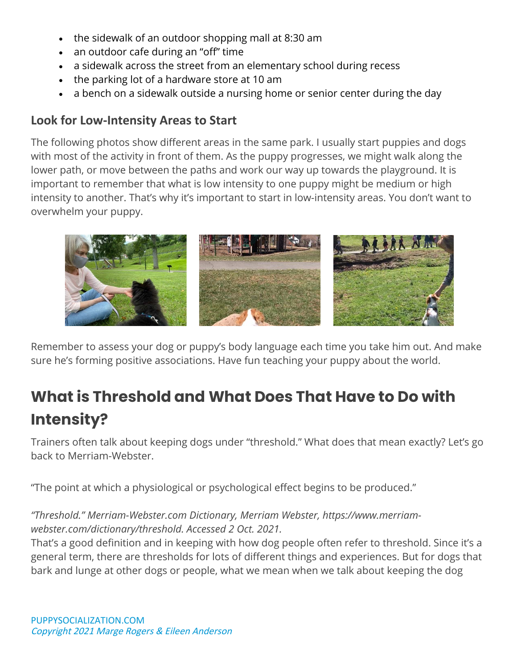- the sidewalk of an outdoor shopping mall at 8:30 am
- an outdoor cafe during an "off" time
- a sidewalk across the street from an elementary school during recess
- the parking lot of a hardware store at 10 am
- a bench on a sidewalk outside a nursing home or senior center during the day

### **Look for Low-Intensity Areas to Start**

The following photos show different areas in the same park. I usually start puppies and dogs with most of the activity in front of them. As the puppy progresses, we might walk along the lower path, or move between the paths and work our way up towards the playground. It is important to remember that what is low intensity to one puppy might be medium or high intensity to another. That's why it's important to start in low-intensity areas. You don't want to overwhelm your puppy.



Remember to assess your dog or puppy's body language each time you take him out. And make sure he's forming positive associations. Have fun teaching your puppy about the world.

# **What is Threshold and What Does That Have to Do with Intensity?**

Trainers often talk about keeping dogs under "threshold." What does that mean exactly? Let's go back to Merriam-Webster.

"The point at which a physiological or psychological effect begins to be produced."

#### *"Threshold." Merriam-Webster.com Dictionary, Merriam Webster, https://www.merriamwebster.com/dictionary/threshold. Accessed 2 Oct. 2021.*

That's a good definition and in keeping with how dog people often refer to threshold. Since it's a general term, there are thresholds for lots of different things and experiences. But for dogs that bark and lunge at other dogs or people, what we mean when we talk about keeping the dog